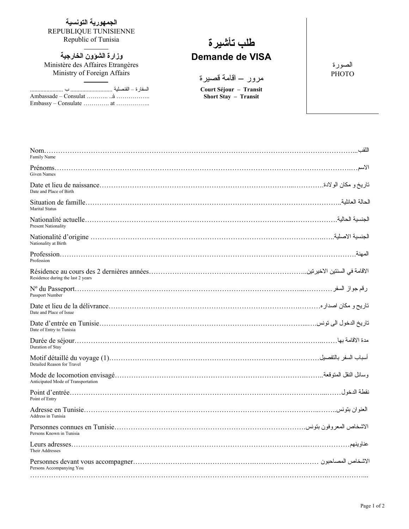**الجمهورية التونسية** REPUBLIQUE TUNISIENNE<br>Republic of Tunisia

**وزارة الشؤون الخارجية** Ministère des Affaires Etrangères Ministry of Foreign Affairs

السفارة – القنصلية ............................ ب ................. ..... Ambassade – Consulat ……….. ..à …………….. Embassy – Consulate …………. at ……………..

## Republic of Tunisia **تأشيرة طلب Demande de VISA**

مرور – اقامة قصيرة

**Court Séjour – Transit Short Stay – Transit**

الصورة **PHOTO** 

| Family Name                        | اللقب           |
|------------------------------------|-----------------|
| <b>Given Names</b>                 |                 |
| Date and Place of Birth            |                 |
| <b>Marital Status</b>              | الحالة العائلبة |
| <b>Present Nationality</b>         |                 |
| Nationality at Birth               |                 |
| Profession                         | المهنة          |
| Residence during the last 2 years  |                 |
| Passport Number                    |                 |
| Date and Place of Issue            |                 |
| Date of Entry to Tunisia           |                 |
| Duration of Stay                   |                 |
| Detailed Reason for Travel         |                 |
| Anticipated Mode of Transportation |                 |
| Point of Entry                     |                 |
| Address in Tunisia                 |                 |
| Persons Known in Tunisia           |                 |
| Their Addresses                    |                 |
| Persons Accompanying You           |                 |
|                                    |                 |